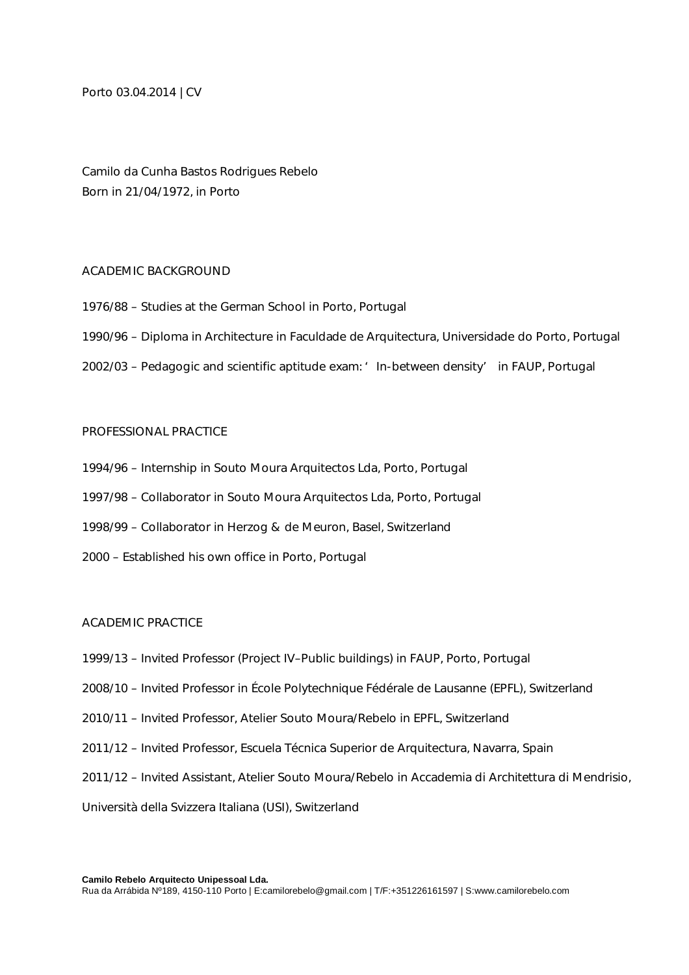Porto 03.04.2014 | CV

Camilo da Cunha Bastos Rodrigues Rebelo Born in 21/04/1972, in Porto

## ACADEMIC BACKGROUND

- 1976/88 Studies at the German School in Porto, Portugal
- 1990/96 Diploma in Architecture in Faculdade de Arquitectura, Universidade do Porto, Portugal
- 2002/03 Pedagogic and scientific aptitude exam: 'In-between density' in FAUP, Portugal

#### PROFESSIONAL PRACTICE

- 1994/96 Internship in Souto Moura Arquitectos Lda, Porto, Portugal
- 1997/98 Collaborator in Souto Moura Arquitectos Lda, Porto, Portugal
- 1998/99 Collaborator in Herzog & de Meuron, Basel, Switzerland
- 2000 Established his own office in Porto, Portugal

## ACADEMIC PRACTICE

- 1999/13 Invited Professor (Project IV–Public buildings) in FAUP, Porto, Portugal
- 2008/10 Invited Professor in École Polytechnique Fédérale de Lausanne (EPFL), Switzerland
- 2010/11 Invited Professor, Atelier Souto Moura/Rebelo in EPFL, Switzerland
- 2011/12 Invited Professor, Escuela Técnica Superior de Arquitectura, Navarra, Spain
- 2011/12 Invited Assistant, Atelier Souto Moura/Rebelo in Accademia di Architettura di Mendrisio,

Università della Svizzera Italiana (USI), Switzerland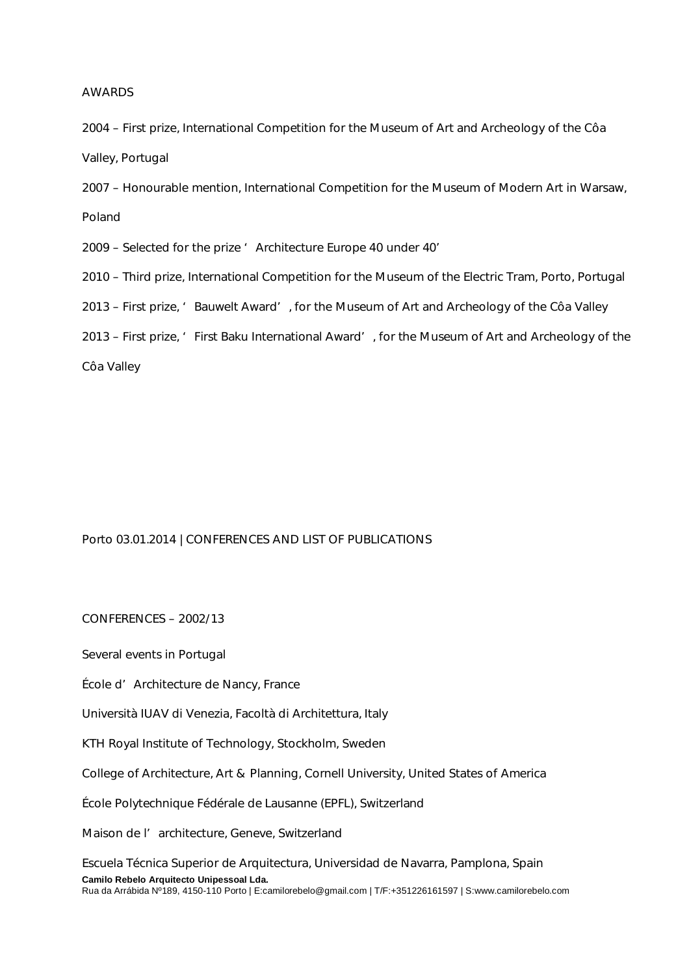## AWARDS

2004 – First prize, International Competition for the Museum of Art and Archeology of the Côa Valley, Portugal

2007 – Honourable mention, International Competition for the Museum of Modern Art in Warsaw, Poland

2009 – Selected for the prize ' Architecture Europe 40 under 40'

2010 – Third prize, International Competition for the Museum of the Electric Tram, Porto, Portugal

2013 – First prize, 'Bauwelt Award', for the Museum of Art and Archeology of the Côa Valley

2013 – First prize, ' First Baku International Award', for the Museum of Art and Archeology of the

Côa Valley

# Porto 03.01.2014 | CONFERENCES AND LIST OF PUBLICATIONS

CONFERENCES – 2002/13

Several events in Portugal

École d'Architecture de Nancy, France

Università IUAV di Venezia, Facoltà di Architettura, Italy

KTH Royal Institute of Technology, Stockholm, Sweden

College of Architecture, Art & Planning, Cornell University, United States of America

École Polytechnique Fédérale de Lausanne (EPFL), Switzerland

Maison de l' architecture, Geneve, Switzerland

**Camilo Rebelo Arquitecto Unipessoal Lda.** Rua da Arrábida Nº189, 4150-110 Porto | E:camilorebelo@gmail.com | T/F:+351226161597 | S:www.camilorebelo.com Escuela Técnica Superior de Arquitectura, Universidad de Navarra, Pamplona, Spain